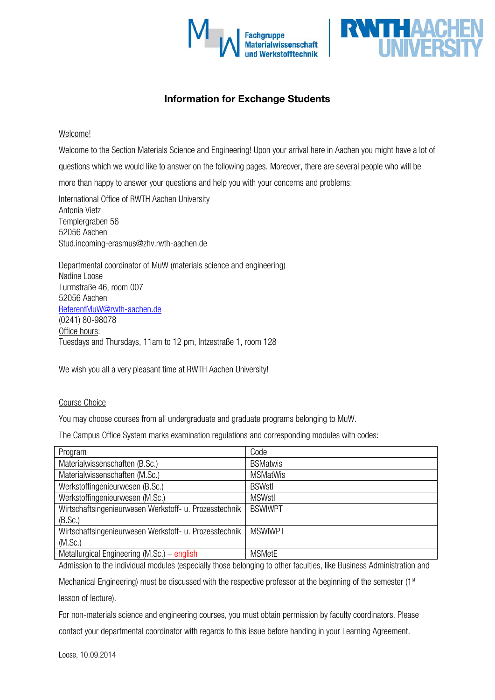



# Information for Exchange Students

# Welcome!

Welcome to the Section Materials Science and Engineering! Upon your arrival here in Aachen you might have a lot of

questions which we would like to answer on the following pages. Moreover, there are several people who will be

more than happy to answer your questions and help you with your concerns and problems:

International Office of RWTH Aachen University Antonia Vietz Templergraben 56 52056 Aachen Stud.incoming-erasmus@zhv.rwth-aachen.de

Departmental coordinator of MuW (materials science and engineering) Nadine Loose Turmstraße 46, room 007 52056 Aachen [ReferentMuW@rwth-aachen.de](mailto:ReferentMuW@rwth-aachen.de) (0241) 80-98078 Office hours: Tuesdays and Thursdays, 11am to 12 pm, Intzestraße 1, room 128

We wish you all a very pleasant time at RWTH Aachen University!

### Course Choice

You may choose courses from all undergraduate and graduate programs belonging to MuW.

The Campus Office System marks examination regulations and corresponding modules with codes:

| Program                                                | Code            |
|--------------------------------------------------------|-----------------|
| Materialwissenschaften (B.Sc.)                         | <b>BSMatwis</b> |
| Materialwissenschaften (M.Sc.)                         | <b>MSMatWis</b> |
| Werkstoffingenieurwesen (B.Sc.)                        | <b>BSWstl</b>   |
| Werkstoffingenieurwesen (M.Sc.)                        | <b>MSWstl</b>   |
| Wirtschaftsingenieurwesen Werkstoff- u. Prozesstechnik | <b>BSWIWPT</b>  |
| (B.Sc.)                                                |                 |
| Wirtschaftsingenieurwesen Werkstoff- u. Prozesstechnik | <b>MSWIWPT</b>  |
| (M.Sc.)                                                |                 |
| Metallurgical Engineering (M.Sc.) – english            | <b>MSMetE</b>   |

Admission to the individual modules (especially those belonging to other faculties, like Business Administration and

Mechanical Engineering) must be discussed with the respective professor at the beginning of the semester (1<sup>st</sup>) lesson of lecture).

For non-materials science and engineering courses, you must obtain permission by faculty coordinators. Please contact your departmental coordinator with regards to this issue before handing in your Learning Agreement.